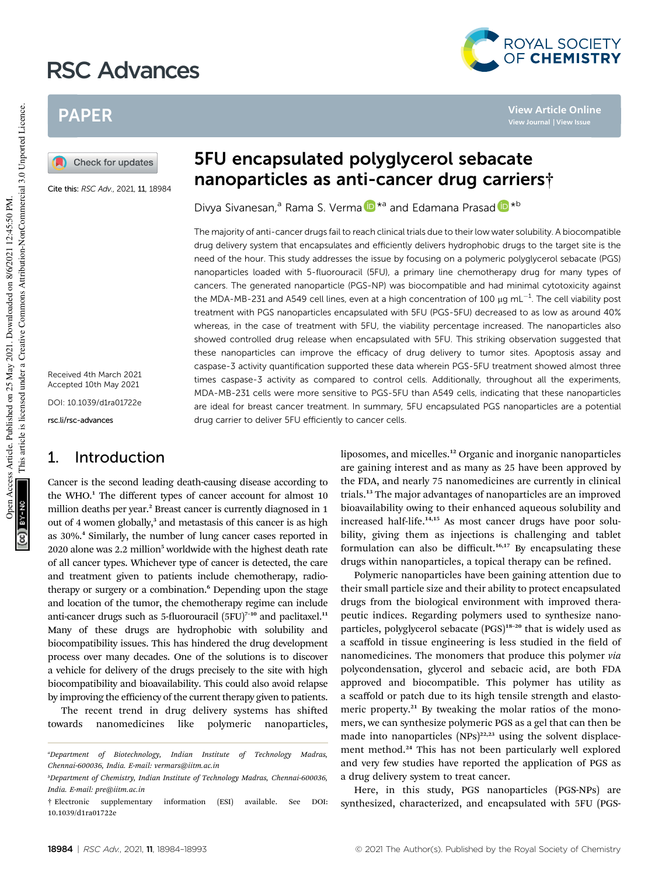# RSC Advances



**View Article Online**

# PAPER

Check for updates

Cite this: RSC Adv., 2021, 11, 18984

Received 4th March 2021 Accepted 10th May 2021

DOI: 10.1039/d1ra01722e

rsc.li/rsc-advances

## 1. Introduction

Cancer is the second leading death-causing disease according to the WHO.<sup>1</sup> The different types of cancer account for almost 10 million deaths per year.<sup>2</sup> Breast cancer is currently diagnosed in 1 out of 4 women globally,<sup>3</sup> and metastasis of this cancer is as high as 30%.<sup>4</sup> Similarly, the number of lung cancer cases reported in 2020 alone was 2.2 million<sup>5</sup> worldwide with the highest death rate of all cancer types. Whichever type of cancer is detected, the care and treatment given to patients include chemotherapy, radiotherapy or surgery or a combination.<sup>6</sup> Depending upon the stage and location of the tumor, the chemotherapy regime can include anti-cancer drugs such as 5-fluorouracil  $(5FU)^{7-10}$  and paclitaxel.<sup>11</sup> Many of these drugs are hydrophobic with solubility and biocompatibility issues. This has hindered the drug development process over many decades. One of the solutions is to discover a vehicle for delivery of the drugs precisely to the site with high biocompatibility and bioavailability. This could also avoid relapse by improving the efficiency of the current therapy given to patients.

The recent trend in drug delivery systems has shifted towards nanomedicines like polymeric nanoparticles,

# 5FU encapsulated polyglycerol sebacate nanoparticles as anti-cancer drug carriers†

Divya Sivanesan,<sup>a</sup> Rama S. Verma **D**<sup>\*a</sup> and Edamana Prasad D<sup>\*b</sup>

The majority of anti-cancer drugs fail to reach clinical trials due to their low water solubility. A biocompatible drug delivery system that encapsulates and efficiently delivers hydrophobic drugs to the target site is the need of the hour. This study addresses the issue by focusing on a polymeric polyglycerol sebacate (PGS) nanoparticles loaded with 5-fluorouracil (5FU), a primary line chemotherapy drug for many types of cancers. The generated nanoparticle (PGS-NP) was biocompatible and had minimal cytotoxicity against the MDA-MB-231 and A549 cell lines, even at a high concentration of 100  $\mu$ g mL<sup>-1</sup>. The cell viability post treatment with PGS nanoparticles encapsulated with 5FU (PGS-5FU) decreased to as low as around 40% whereas, in the case of treatment with 5FU, the viability percentage increased. The nanoparticles also showed controlled drug release when encapsulated with 5FU. This striking observation suggested that these nanoparticles can improve the efficacy of drug delivery to tumor sites. Apoptosis assay and caspase-3 activity quantification supported these data wherein PGS-5FU treatment showed almost three times caspase-3 activity as compared to control cells. Additionally, throughout all the experiments, MDA-MB-231 cells were more sensitive to PGS-5FU than A549 cells, indicating that these nanoparticles are ideal for breast cancer treatment. In summary, 5FU encapsulated PGS nanoparticles are a potential drug carrier to deliver 5FU efficiently to cancer cells.

> liposomes, and micelles.<sup>12</sup> Organic and inorganic nanoparticles are gaining interest and as many as 25 have been approved by the FDA, and nearly 75 nanomedicines are currently in clinical trials.<sup>13</sup> The major advantages of nanoparticles are an improved bioavailability owing to their enhanced aqueous solubility and increased half-life.<sup>14,15</sup> As most cancer drugs have poor solubility, giving them as injections is challenging and tablet formulation can also be difficult.<sup>16,17</sup> By encapsulating these drugs within nanoparticles, a topical therapy can be refined.

> Polymeric nanoparticles have been gaining attention due to their small particle size and their ability to protect encapsulated drugs from the biological environment with improved therapeutic indices. Regarding polymers used to synthesize nanoparticles, polyglycerol sebacate (PGS)<sup>18-20</sup> that is widely used as a scaffold in tissue engineering is less studied in the field of nanomedicines. The monomers that produce this polymer *via* polycondensation, glycerol and sebacic acid, are both FDA approved and biocompatible. This polymer has utility as a scaffold or patch due to its high tensile strength and elastomeric property.<sup>21</sup> By tweaking the molar ratios of the monomers, we can synthesize polymeric PGS as a gel that can then be made into nanoparticles  $(NPs)^{22,23}$  using the solvent displacement method.<sup>24</sup> This has not been particularly well explored and very few studies have reported the application of PGS as a drug delivery system to treat cancer.

> Here, in this study, PGS nanoparticles (PGS-NPs) are synthesized, characterized, and encapsulated with 5FU (PGS-

*<sup>a</sup>Department of Biotechnology, Indian Institute of Technology Madras, Chennai-600036, India. E-mail: vermars@iitm.ac.in*

*<sup>b</sup>Department of Chemistry, Indian Institute of Technology Madras, Chennai-600036, India. E-mail: pre@iitm.ac.in*

<sup>†</sup> Electronic supplementary information (ESI) available. See DOI: 10.1039/d1ra01722e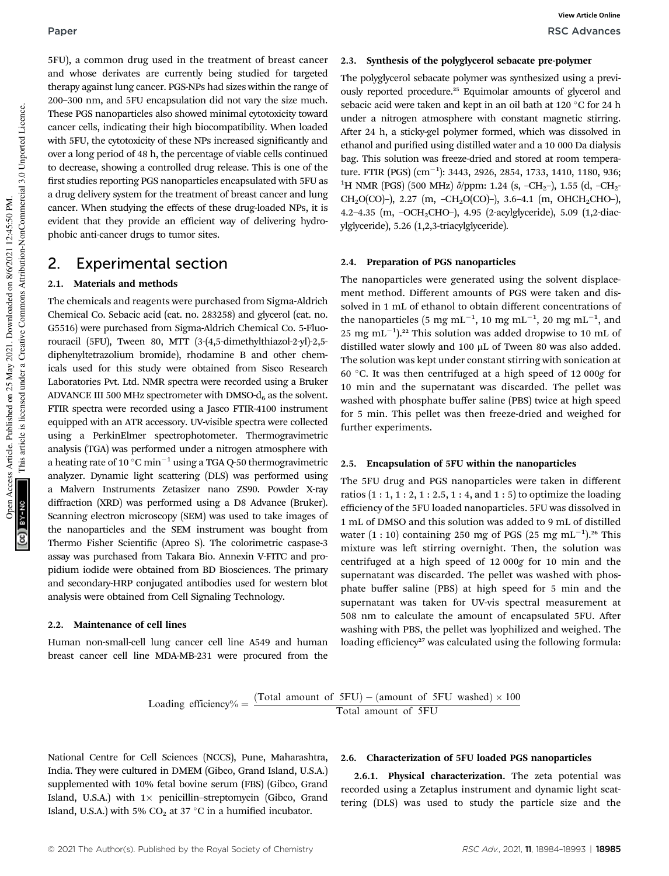5FU), a common drug used in the treatment of breast cancer and whose derivates are currently being studied for targeted therapy against lung cancer. PGS-NPs had sizes within the range of 200–300 nm, and 5FU encapsulation did not vary the size much. These PGS nanoparticles also showed minimal cytotoxicity toward cancer cells, indicating their high biocompatibility. When loaded with 5FU, the cytotoxicity of these NPs increased significantly and over a long period of 48 h, the percentage of viable cells continued to decrease, showing a controlled drug release. This is one of the first studies reporting PGS nanoparticles encapsulated with 5FU as a drug delivery system for the treatment of breast cancer and lung cancer. When studying the effects of these drug-loaded NPs, it is evident that they provide an efficient way of delivering hydrophobic anti-cancer drugs to tumor sites.

## 2. Experimental section

### 2.1. Materials and methods

The chemicals and reagents were purchased from Sigma-Aldrich Chemical Co. Sebacic acid (cat. no. 283258) and glycerol (cat. no. G5516) were purchased from Sigma-Aldrich Chemical Co. 5-Fluorouracil (5FU), Tween 80, MTT (3-(4,5-dimethylthiazol-2-yl)-2,5 diphenyltetrazolium bromide), rhodamine B and other chemicals used for this study were obtained from Sisco Research Laboratories Pvt. Ltd. NMR spectra were recorded using a Bruker ADVANCE III 500 MHz spectrometer with DMSO- $d_6$  as the solvent. FTIR spectra were recorded using a Jasco FTIR-4100 instrument equipped with an ATR accessory. UV-visible spectra were collected using a PerkinElmer spectrophotometer. Thermogravimetric analysis (TGA) was performed under a nitrogen atmosphere with a heating rate of 10  $^{\circ}\mathrm{C}\,\mathrm{min}^{-1}$  using a TGA Q-50 thermogravimetric analyzer. Dynamic light scattering (DLS) was performed using a Malvern Instruments Zetasizer nano ZS90. Powder X-ray diffraction (XRD) was performed using a D8 Advance (Bruker). Scanning electron microscopy (SEM) was used to take images of the nanoparticles and the SEM instrument was bought from Thermo Fisher Scientific (Apreo S). The colorimetric caspase-3 assay was purchased from Takara Bio. Annexin V-FITC and propidium iodide were obtained from BD Biosciences. The primary and secondary-HRP conjugated antibodies used for western blot analysis were obtained from Cell Signaling Technology.

### 2.2. Maintenance of cell lines

Human non-small-cell lung cancer cell line A549 and human breast cancer cell line MDA-MB-231 were procured from the

### 2.3. Synthesis of the polyglycerol sebacate pre-polymer

The polyglycerol sebacate polymer was synthesized using a previously reported procedure.<sup>25</sup> Equimolar amounts of glycerol and sebacic acid were taken and kept in an oil bath at  $120^{\circ}$ C for 24 h under a nitrogen atmosphere with constant magnetic stirring. After 24 h, a sticky-gel polymer formed, which was dissolved in ethanol and purified using distilled water and a 10 000 Da dialysis bag. This solution was freeze-dried and stored at room temperature. FTIR  $\rm (PGS)\ (cm^{-1})$ : 3443, 2926, 2854, 1733, 1410, 1180, 936; <sup>1</sup>H NMR (PGS) (500 MHz)  $\delta$ /ppm: 1.24 (s, -CH<sub>2</sub>-), 1.55 (d, -CH<sub>2</sub>-CH<sub>2</sub>O(CO)-), 2.27 (m, -CH<sub>2</sub>O(CO)-), 3.6-4.1 (m, OHCH<sub>2</sub>CHO-), 4.2–4.35 (m, –OCH2CHO–), 4.95 (2-acylglyceride), 5.09 (1,2-diacylglyceride), 5.26 (1,2,3-triacylglyceride).

### 2.4. Preparation of PGS nanoparticles

The nanoparticles were generated using the solvent displacement method. Different amounts of PGS were taken and dissolved in 1 mL of ethanol to obtain different concentrations of the nanoparticles (5 mg mL $^{-1}$ , 10 mg mL $^{-1}$ , 20 mg mL $^{-1}$ , and 25 mg mL<sup>-1</sup>).<sup>22</sup> This solution was added dropwise to 10 mL of distilled water slowly and  $100 \mu L$  of Tween 80 was also added. The solution was kept under constant stirring with sonication at 60 C. It was then centrifuged at a high speed of 12 000*g* for 10 min and the supernatant was discarded. The pellet was washed with phosphate buffer saline (PBS) twice at high speed for 5 min. This pellet was then freeze-dried and weighed for further experiments.

### 2.5. Encapsulation of 5FU within the nanoparticles

The 5FU drug and PGS nanoparticles were taken in different ratios  $(1 : 1, 1 : 2, 1 : 2.5, 1 : 4,$  and  $1 : 5)$  to optimize the loading efficiency of the 5FU loaded nanoparticles. 5FU was dissolved in 1 mL of DMSO and this solution was added to 9 mL of distilled water  $(1:10)$  containing 250 mg of PGS  $(25 \text{ mg} \text{ mL}^{-1})$ .<sup>26</sup> This mixture was left stirring overnight. Then, the solution was centrifuged at a high speed of 12 000*g* for 10 min and the supernatant was discarded. The pellet was washed with phosphate buffer saline (PBS) at high speed for 5 min and the supernatant was taken for UV-vis spectral measurement at 508 nm to calculate the amount of encapsulated 5FU. After washing with PBS, the pellet was lyophilized and weighed. The loading efficiency<sup>27</sup> was calculated using the following formula:

Loading efficiency% =  $\frac{(Total amount of 5FU)-(amount of 5FU washed) \times 100}{Total amount of 5EUI}$ Total amount of 5FU

National Centre for Cell Sciences (NCCS), Pune, Maharashtra, India. They were cultured in DMEM (Gibco, Grand Island, U.S.A.) supplemented with 10% fetal bovine serum (FBS) (Gibco, Grand Island, U.S.A.) with  $1 \times$  penicillin–streptomycin (Gibco, Grand Island, U.S.A.) with 5%  $CO<sub>2</sub>$  at 37 °C in a humified incubator.

### 2.6. Characterization of 5FU loaded PGS nanoparticles

2.6.1. Physical characterization. The zeta potential was recorded using a Zetaplus instrument and dynamic light scattering (DLS) was used to study the particle size and the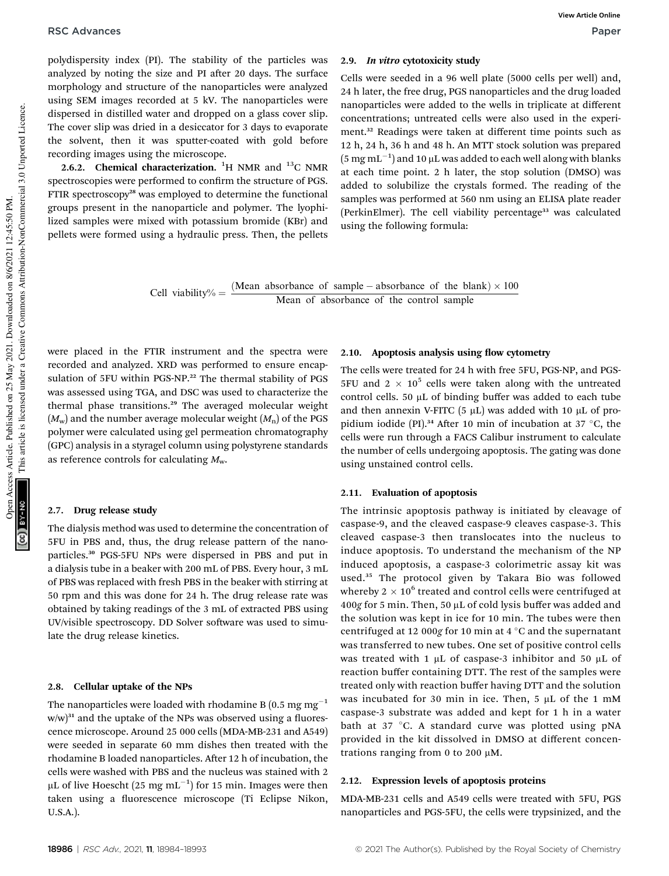polydispersity index (PI). The stability of the particles was analyzed by noting the size and PI after 20 days. The surface morphology and structure of the nanoparticles were analyzed using SEM images recorded at 5 kV. The nanoparticles were dispersed in distilled water and dropped on a glass cover slip. The cover slip was dried in a desiccator for 3 days to evaporate the solvent, then it was sputter-coated with gold before recording images using the microscope.

2.6.2. Chemical characterization.  ${}^{1}$ H NMR and  ${}^{13}$ C NMR spectroscopies were performed to confirm the structure of PGS. FTIR spectroscopy<sup>28</sup> was employed to determine the functional groups present in the nanoparticle and polymer. The lyophilized samples were mixed with potassium bromide (KBr) and pellets were formed using a hydraulic press. Then, the pellets

### 2.9. In vitro cytotoxicity study

Cells were seeded in a 96 well plate (5000 cells per well) and, 24 h later, the free drug, PGS nanoparticles and the drug loaded nanoparticles were added to the wells in triplicate at different concentrations; untreated cells were also used in the experiment.<sup>32</sup> Readings were taken at different time points such as 12 h, 24 h, 36 h and 48 h. An MTT stock solution was prepared  $(5~\mathrm{mg}\,\mathrm{mL}^{-1})$  and 10  $\mu\mathrm{L}$  was added to each well along with blanks at each time point. 2 h later, the stop solution (DMSO) was added to solubilize the crystals formed. The reading of the samples was performed at 560 nm using an ELISA plate reader (PerkinElmer). The cell viability percentage<sup>33</sup> was calculated using the following formula:

Cell viability% =  $\frac{\text{(Mean absorbance of sample - absorbance of the blank)} \times 100}{\text{Mean of observed cost}}$ Mean of absorbance of the control sample

were placed in the FTIR instrument and the spectra were recorded and analyzed. XRD was performed to ensure encapsulation of 5FU within PGS-NP.<sup>22</sup> The thermal stability of PGS was assessed using TGA, and DSC was used to characterize the thermal phase transitions.<sup>29</sup> The averaged molecular weight  $(M_w)$  and the number average molecular weight  $(M_n)$  of the PGS polymer were calculated using gel permeation chromatography (GPC) analysis in a styragel column using polystyrene standards as reference controls for calculating *M*w.

### 2.7. Drug release study

The dialysis method was used to determine the concentration of 5FU in PBS and, thus, the drug release pattern of the nanoparticles.<sup>30</sup> PGS-5FU NPs were dispersed in PBS and put in a dialysis tube in a beaker with 200 mL of PBS. Every hour, 3 mL of PBS was replaced with fresh PBS in the beaker with stirring at 50 rpm and this was done for 24 h. The drug release rate was obtained by taking readings of the 3 mL of extracted PBS using UV/visible spectroscopy. DD Solver software was used to simulate the drug release kinetics.

### 2.8. Cellular uptake of the NPs

The nanoparticles were loaded with rhodamine B (0.5 mg  $mg^{-1}$  $w/w$ <sup>31</sup> and the uptake of the NPs was observed using a fluorescence microscope. Around 25 000 cells (MDA-MB-231 and A549) were seeded in separate 60 mm dishes then treated with the rhodamine B loaded nanoparticles. After 12 h of incubation, the cells were washed with PBS and the nucleus was stained with 2 µL of live Hoescht (25  $\text{mg }\text{mL}^{-1}$ ) for 15 min. Images were then taken using a fluorescence microscope (Ti Eclipse Nikon, U.S.A.).

### 2.10. Apoptosis analysis using flow cytometry

The cells were treated for 24 h with free 5FU, PGS-NP, and PGS-5FU and 2  $\times$  10<sup>5</sup> cells were taken along with the untreated control cells. 50  $\mu$ L of binding buffer was added to each tube and then annexin V-FITC (5  $\mu$ L) was added with 10  $\mu$ L of propidium iodide (PI).<sup>34</sup> After 10 min of incubation at 37 °C, the cells were run through a FACS Calibur instrument to calculate the number of cells undergoing apoptosis. The gating was done using unstained control cells.

### 2.11. Evaluation of apoptosis

The intrinsic apoptosis pathway is initiated by cleavage of caspase-9, and the cleaved caspase-9 cleaves caspase-3. This cleaved caspase-3 then translocates into the nucleus to induce apoptosis. To understand the mechanism of the NP induced apoptosis, a caspase-3 colorimetric assay kit was used.<sup>35</sup> The protocol given by Takara Bio was followed whereby 2  $\times$  10 $^6$  treated and control cells were centrifuged at 400*g* for 5 min. Then, 50 µL of cold lysis buffer was added and the solution was kept in ice for 10 min. The tubes were then centrifuged at 12 000g for 10 min at 4 °C and the supernatant was transferred to new tubes. One set of positive control cells was treated with 1  $\mu$ L of caspase-3 inhibitor and 50  $\mu$ L of reaction buffer containing DTT. The rest of the samples were treated only with reaction buffer having DTT and the solution was incubated for 30 min in ice. Then, 5  $\mu$ L of the 1 mM caspase-3 substrate was added and kept for 1 h in a water bath at 37  $\degree$ C. A standard curve was plotted using pNA provided in the kit dissolved in DMSO at different concentrations ranging from 0 to 200  $\mu$ M.

### 2.12. Expression levels of apoptosis proteins

MDA-MB-231 cells and A549 cells were treated with 5FU, PGS nanoparticles and PGS-5FU, the cells were trypsinized, and the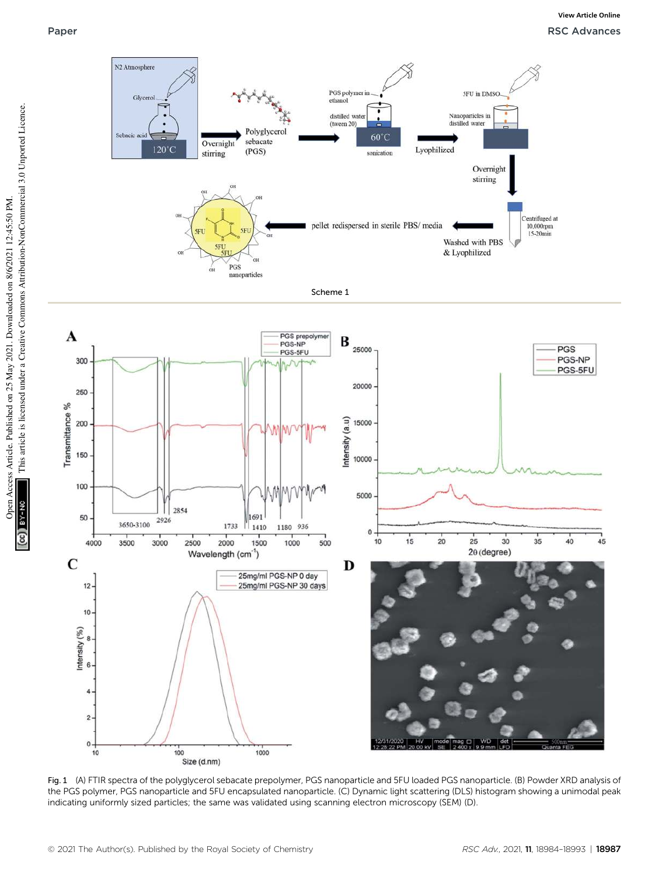Open Access Article. Published on 25 May 2021. Downloaded on 8/6/2021 12:45:50 PM.

BY-NO

T

Open Access Article. Published on 25 May 2021. Downloaded on 8/6/2021 12:45:50 PM.

This article is licensed under a Creative Commons Attribution-NonCommercial 3.0 Unported Licence.

This article is licensed under a Creative Commons Attribution-NonCommercial 3.0 Unported Licence.



Fig. 1 (A) FTIR spectra of the polyglycerol sebacate prepolymer, PGS nanoparticle and 5FU loaded PGS nanoparticle. (B) Powder XRD analysis of the PGS polymer, PGS nanoparticle and 5FU encapsulated nanoparticle. (C) Dynamic light scattering (DLS) histogram showing a unimodal peak indicating uniformly sized particles; the same was validated using scanning electron microscopy (SEM) (D).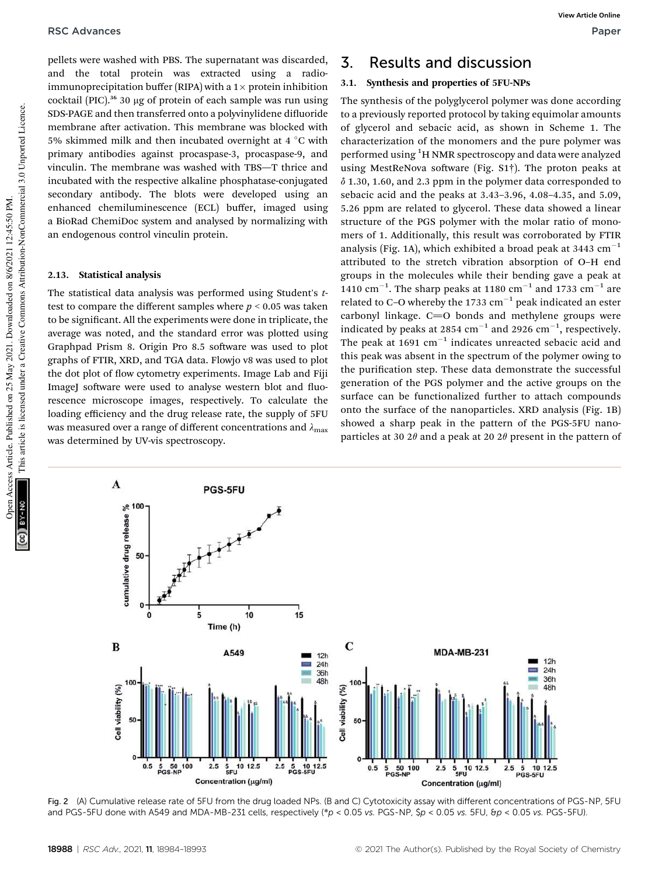pellets were washed with PBS. The supernatant was discarded, and the total protein was extracted using a radioimmunoprecipitation buffer (RIPA) with a  $1 \times$  protein inhibition cocktail (PIC).<sup>36</sup> 30 μg of protein of each sample was run using SDS-PAGE and then transferred onto a polyvinylidene difluoride membrane after activation. This membrane was blocked with 5% skimmed milk and then incubated overnight at 4  $\degree$ C with primary antibodies against procaspase-3, procaspase-9, and vinculin. The membrane was washed with TBS—T thrice and incubated with the respective alkaline phosphatase-conjugated secondary antibody. The blots were developed using an enhanced chemiluminescence (ECL) buffer, imaged using a BioRad ChemiDoc system and analysed by normalizing with an endogenous control vinculin protein.

### 2.13. Statistical analysis

The statistical data analysis was performed using Student's *t*test to compare the different samples where  $p < 0.05$  was taken to be signicant. All the experiments were done in triplicate, the average was noted, and the standard error was plotted using Graphpad Prism 8. Origin Pro 8.5 software was used to plot graphs of FTIR, XRD, and TGA data. Flowjo v8 was used to plot the dot plot of flow cytometry experiments. Image Lab and Fiji ImageJ software were used to analyse western blot and fluorescence microscope images, respectively. To calculate the loading efficiency and the drug release rate, the supply of 5FU was measured over a range of different concentrations and  $\lambda_{\text{max}}$ was determined by UV-vis spectroscopy.

# 3. Results and discussion

### 3.1. Synthesis and properties of 5FU-NPs

The synthesis of the polyglycerol polymer was done according to a previously reported protocol by taking equimolar amounts of glycerol and sebacic acid, as shown in Scheme 1. The characterization of the monomers and the pure polymer was performed using <sup>1</sup>H NMR spectroscopy and data were analyzed using MestReNova software (Fig.  $S1\dagger$ ). The proton peaks at  $\delta$  1.30, 1.60, and 2.3 ppm in the polymer data corresponded to sebacic acid and the peaks at 3.43–3.96, 4.08–4.35, and 5.09, 5.26 ppm are related to glycerol. These data showed a linear structure of the PGS polymer with the molar ratio of monomers of 1. Additionally, this result was corroborated by FTIR analysis (Fig. 1A), which exhibited a broad peak at 3443  $cm^{-1}$ attributed to the stretch vibration absorption of O–H end groups in the molecules while their bending gave a peak at 1410 cm<sup>-1</sup>. The sharp peaks at 1180 cm<sup>-1</sup> and 1733 cm<sup>-1</sup> are related to C–O whereby the 1733  $\mathrm{cm}^{-1}$  peak indicated an ester carbonyl linkage.  $C=O$  bonds and methylene groups were indicated by peaks at 2854  $cm^{-1}$  and 2926  $cm^{-1}$ , respectively. The peak at 1691  $\mathrm{cm}^{-1}$  indicates unreacted sebacic acid and this peak was absent in the spectrum of the polymer owing to the purification step. These data demonstrate the successful generation of the PGS polymer and the active groups on the surface can be functionalized further to attach compounds onto the surface of the nanoparticles. XRD analysis (Fig. 1B) showed a sharp peak in the pattern of the PGS-5FU nanoparticles at 30  $2\theta$  and a peak at 20  $2\theta$  present in the pattern of



Fig. 2 (A) Cumulative release rate of 5FU from the drug loaded NPs. (B and C) Cytotoxicity assay with different concentrations of PGS-NP, 5FU and PGS-5FU done with A549 and MDA-MB-231 cells, respectively (\*p < 0.05 vs. PGS-NP, \$p < 0.05 vs. 5FU, &p < 0.05 vs. PGS-5FU).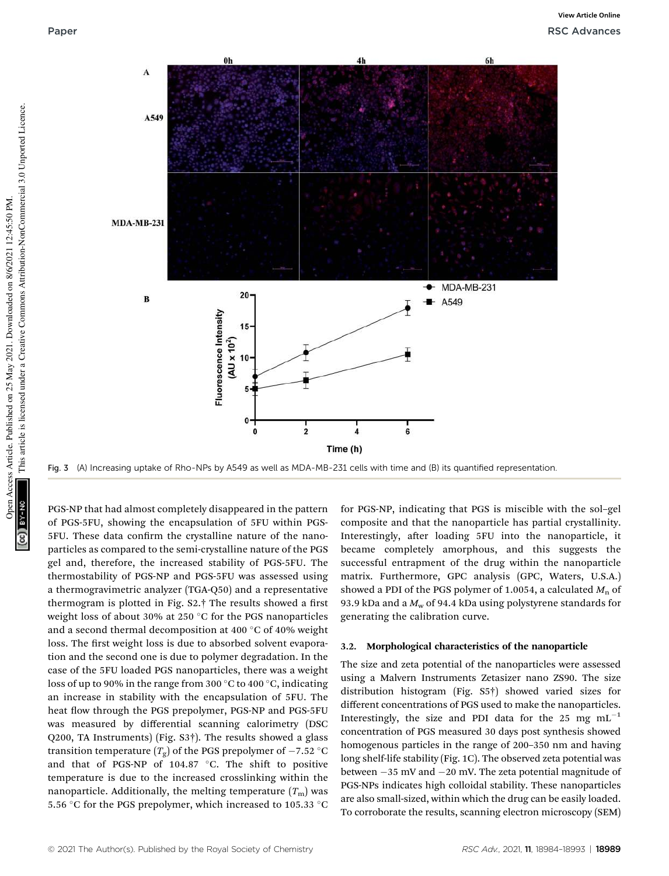

Fig. 3 (A) Increasing uptake of Rho-NPs by A549 as well as MDA-MB-231 cells with time and (B) its quantified representation.

PGS-NP that had almost completely disappeared in the pattern of PGS-5FU, showing the encapsulation of 5FU within PGS-5FU. These data confirm the crystalline nature of the nanoparticles as compared to the semi-crystalline nature of the PGS gel and, therefore, the increased stability of PGS-5FU. The thermostability of PGS-NP and PGS-5FU was assessed using a thermogravimetric analyzer (TGA-Q50) and a representative thermogram is plotted in Fig.  $S2.$ † The results showed a first weight loss of about 30% at 250 °C for the PGS nanoparticles and a second thermal decomposition at 400  $^{\circ}$ C of 40% weight loss. The first weight loss is due to absorbed solvent evaporation and the second one is due to polymer degradation. In the case of the 5FU loaded PGS nanoparticles, there was a weight loss of up to 90% in the range from 300  $\degree$ C to 400  $\degree$ C, indicating an increase in stability with the encapsulation of 5FU. The heat flow through the PGS prepolymer, PGS-NP and PGS-5FU was measured by differential scanning calorimetry (DSC Q200, TA Instruments) (Fig. S3†). The results showed a glass transition temperature  $(T_g)$  of the PGS prepolymer of  $-7.52$  °C and that of PGS-NP of  $104.87$  °C. The shift to positive temperature is due to the increased crosslinking within the nanoparticle. Additionally, the melting temperature  $(T<sub>m</sub>)$  was 5.56 °C for the PGS prepolymer, which increased to 105.33 °C

for PGS-NP, indicating that PGS is miscible with the sol–gel composite and that the nanoparticle has partial crystallinity. Interestingly, after loading 5FU into the nanoparticle, it became completely amorphous, and this suggests the successful entrapment of the drug within the nanoparticle matrix. Furthermore, GPC analysis (GPC, Waters, U.S.A.) showed a PDI of the PGS polymer of 1.0054, a calculated  $M<sub>n</sub>$  of 93.9 kDa and a *M*<sup>w</sup> of 94.4 kDa using polystyrene standards for generating the calibration curve.

### 3.2. Morphological characteristics of the nanoparticle

The size and zeta potential of the nanoparticles were assessed using a Malvern Instruments Zetasizer nano ZS90. The size distribution histogram (Fig. S5†) showed varied sizes for different concentrations of PGS used to make the nanoparticles. Interestingly, the size and PDI data for the 25 mg  $mL^{-1}$ concentration of PGS measured 30 days post synthesis showed homogenous particles in the range of 200–350 nm and having long shelf-life stability (Fig. 1C). The observed zeta potential was between  $-35$  mV and  $-20$  mV. The zeta potential magnitude of PGS-NPs indicates high colloidal stability. These nanoparticles are also small-sized, within which the drug can be easily loaded. To corroborate the results, scanning electron microscopy (SEM)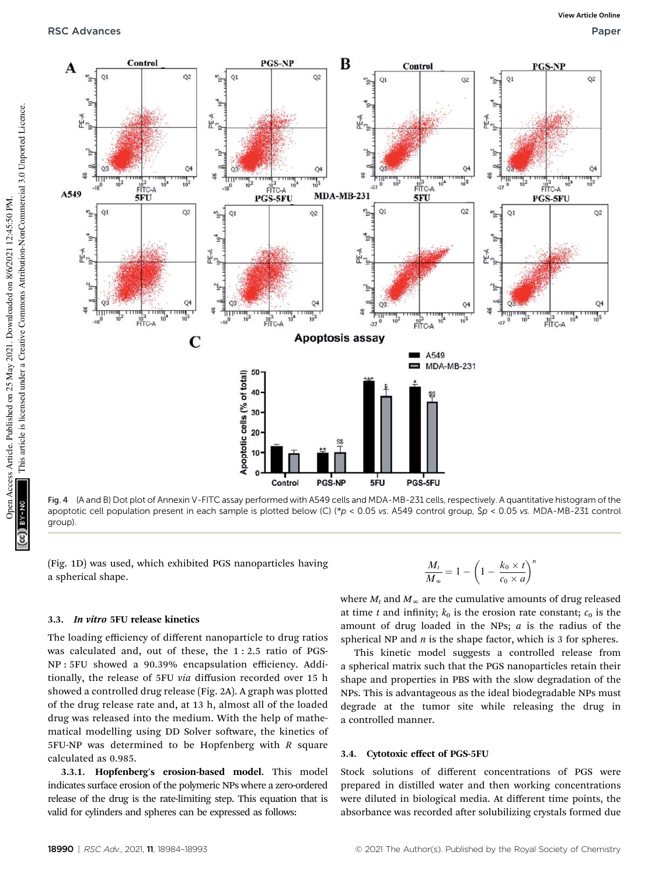

Fig. 4 (A and B) Dot plot of Annexin V-FITC assay performed with A549 cells and MDA-MB-231 cells, respectively. A quantitative histogram of the apoptotic cell population present in each sample is plotted below (C) (\*p < 0.05 vs. A549 control group,  $Sp < 0.05$  vs. MDA-MB-231 control group).

(Fig. 1D) was used, which exhibited PGS nanoparticles having a spherical shape.

### 3.3. In vitro 5FU release kinetics

The loading efficiency of different nanoparticle to drug ratios was calculated and, out of these, the 1 : 2.5 ratio of PGS-NP : 5FU showed a 90.39% encapsulation efficiency. Additionally, the release of 5FU *via* diffusion recorded over 15 h showed a controlled drug release (Fig. 2A). A graph was plotted of the drug release rate and, at 13 h, almost all of the loaded drug was released into the medium. With the help of mathematical modelling using DD Solver software, the kinetics of 5FU-NP was determined to be Hopfenberg with *R* square calculated as 0.985.

3.3.1. Hopfenberg's erosion-based model. This model indicates surface erosion of the polymeric NPs where a zero-ordered release of the drug is the rate-limiting step. This equation that is valid for cylinders and spheres can be expressed as follows:

$$
\frac{M_t}{M_{\infty}} = 1 - \left(1 - \frac{k_0 \times t}{c_0 \times a}\right)^n
$$

where  $M_t$  and  $M_\infty$  are the cumulative amounts of drug released at time *t* and infinity;  $k_0$  is the erosion rate constant;  $c_0$  is the amount of drug loaded in the NPs; *a* is the radius of the spherical NP and *n* is the shape factor, which is 3 for spheres.

This kinetic model suggests a controlled release from a spherical matrix such that the PGS nanoparticles retain their shape and properties in PBS with the slow degradation of the NPs. This is advantageous as the ideal biodegradable NPs must degrade at the tumor site while releasing the drug in a controlled manner.

### 3.4. Cytotoxic effect of PGS-5FU

Stock solutions of different concentrations of PGS were prepared in distilled water and then working concentrations were diluted in biological media. At different time points, the absorbance was recorded after solubilizing crystals formed due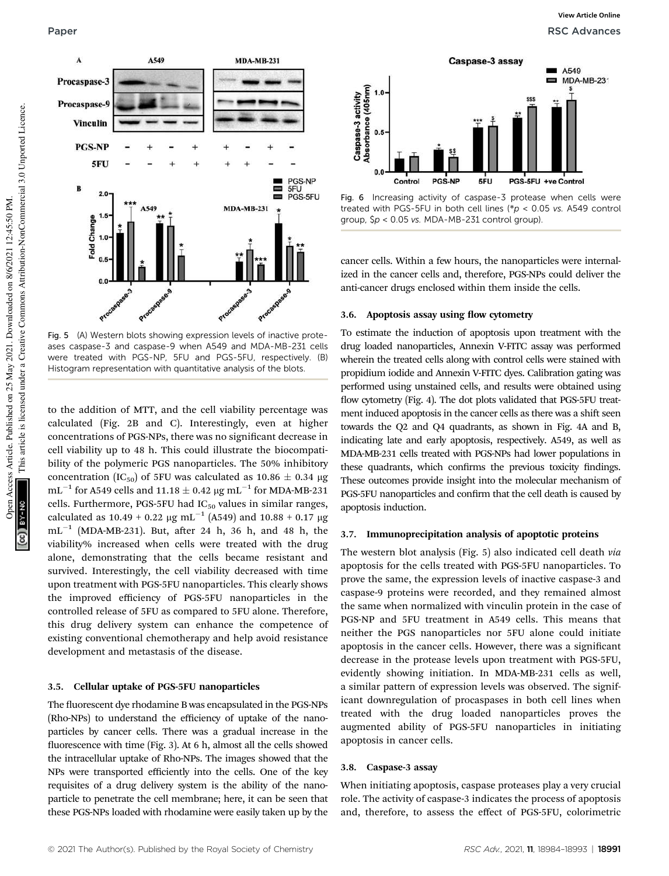

Fig. 5 (A) Western blots showing expression levels of inactive proteases caspase-3 and caspase-9 when A549 and MDA-MB-231 cells were treated with PGS-NP, 5FU and PGS-5FU, respectively. (B) Histogram representation with quantitative analysis of the blots.

to the addition of MTT, and the cell viability percentage was calculated (Fig. 2B and C). Interestingly, even at higher concentrations of PGS-NPs, there was no signicant decrease in cell viability up to 48 h. This could illustrate the biocompatibility of the polymeric PGS nanoparticles. The 50% inhibitory concentration (IC<sub>50</sub>) of 5FU was calculated as  $10.86 \pm 0.34$  µg  $\rm mL^{-1}$  for A549 cells and 11.18  $\pm$  0.42  $\rm \mu g\, \rm mL^{-1}$  for MDA-MB-231 cells. Furthermore, PGS-5FU had  $IC_{50}$  values in similar ranges, calculated as 10.49 + 0.22  $\mu$ g mL $^{-1}$  (A549) and 10.88 + 0.17  $\mu$ g  $mL^{-1}$  (MDA-MB-231). But, after 24 h, 36 h, and 48 h, the viability% increased when cells were treated with the drug alone, demonstrating that the cells became resistant and survived. Interestingly, the cell viability decreased with time upon treatment with PGS-5FU nanoparticles. This clearly shows the improved efficiency of PGS-5FU nanoparticles in the controlled release of 5FU as compared to 5FU alone. Therefore, this drug delivery system can enhance the competence of existing conventional chemotherapy and help avoid resistance development and metastasis of the disease.

### 3.5. Cellular uptake of PGS-5FU nanoparticles

The fluorescent dye rhodamine B was encapsulated in the PGS-NPs (Rho-NPs) to understand the efficiency of uptake of the nanoparticles by cancer cells. There was a gradual increase in the fluorescence with time (Fig. 3). At 6 h, almost all the cells showed the intracellular uptake of Rho-NPs. The images showed that the NPs were transported efficiently into the cells. One of the key requisites of a drug delivery system is the ability of the nanoparticle to penetrate the cell membrane; here, it can be seen that these PGS-NPs loaded with rhodamine were easily taken up by the



Fig. 6 Increasing activity of caspase-3 protease when cells were treated with PGS-5FU in both cell lines ( $p$  < 0.05 vs. A549 control group, \$p < 0.05 vs. MDA-MB-231 control group).

cancer cells. Within a few hours, the nanoparticles were internalized in the cancer cells and, therefore, PGS-NPs could deliver the anti-cancer drugs enclosed within them inside the cells.

### 3.6. Apoptosis assay using flow cytometry

To estimate the induction of apoptosis upon treatment with the drug loaded nanoparticles, Annexin V-FITC assay was performed wherein the treated cells along with control cells were stained with propidium iodide and Annexin V-FITC dyes. Calibration gating was performed using unstained cells, and results were obtained using flow cytometry (Fig. 4). The dot plots validated that PGS-5FU treatment induced apoptosis in the cancer cells as there was a shift seen towards the Q2 and Q4 quadrants, as shown in Fig. 4A and B, indicating late and early apoptosis, respectively. A549, as well as MDA-MB-231 cells treated with PGS-NPs had lower populations in these quadrants, which confirms the previous toxicity findings. These outcomes provide insight into the molecular mechanism of PGS-5FU nanoparticles and confirm that the cell death is caused by apoptosis induction.

### 3.7. Immunoprecipitation analysis of apoptotic proteins

The western blot analysis (Fig. 5) also indicated cell death *via* apoptosis for the cells treated with PGS-5FU nanoparticles. To prove the same, the expression levels of inactive caspase-3 and caspase-9 proteins were recorded, and they remained almost the same when normalized with vinculin protein in the case of PGS-NP and 5FU treatment in A549 cells. This means that neither the PGS nanoparticles nor 5FU alone could initiate apoptosis in the cancer cells. However, there was a significant decrease in the protease levels upon treatment with PGS-5FU, evidently showing initiation. In MDA-MB-231 cells as well, a similar pattern of expression levels was observed. The significant downregulation of procaspases in both cell lines when treated with the drug loaded nanoparticles proves the augmented ability of PGS-5FU nanoparticles in initiating apoptosis in cancer cells.

### 3.8. Caspase-3 assay

When initiating apoptosis, caspase proteases play a very crucial role. The activity of caspase-3 indicates the process of apoptosis and, therefore, to assess the effect of PGS-5FU, colorimetric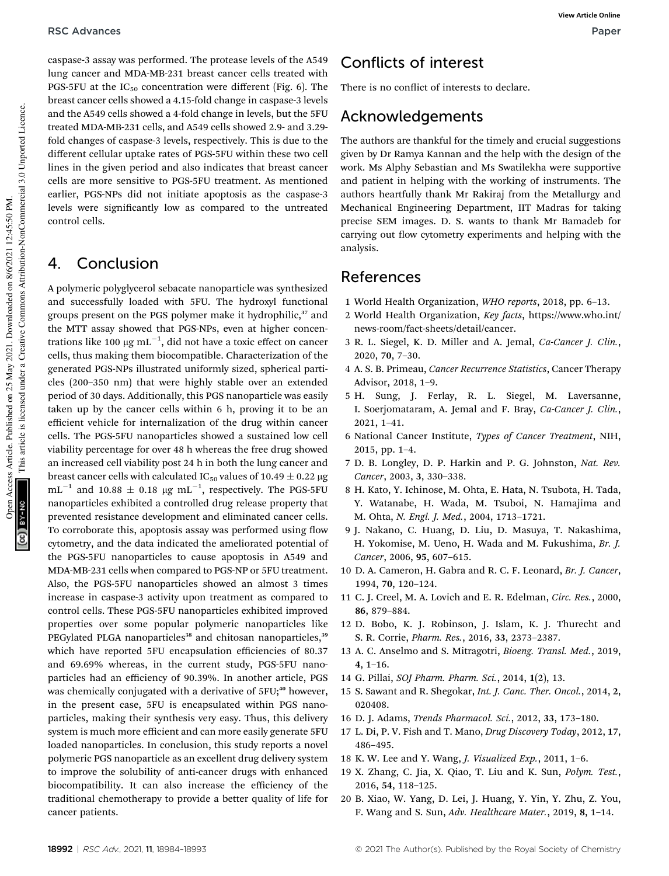caspase-3 assay was performed. The protease levels of the A549 lung cancer and MDA-MB-231 breast cancer cells treated with PGS-5FU at the  $IC_{50}$  concentration were different (Fig. 6). The breast cancer cells showed a 4.15-fold change in caspase-3 levels and the A549 cells showed a 4-fold change in levels, but the 5FU treated MDA-MB-231 cells, and A549 cells showed 2.9- and 3.29 fold changes of caspase-3 levels, respectively. This is due to the different cellular uptake rates of PGS-5FU within these two cell lines in the given period and also indicates that breast cancer cells are more sensitive to PGS-5FU treatment. As mentioned earlier, PGS-NPs did not initiate apoptosis as the caspase-3 levels were signicantly low as compared to the untreated control cells.

## 4. Conclusion

A polymeric polyglycerol sebacate nanoparticle was synthesized and successfully loaded with 5FU. The hydroxyl functional groups present on the PGS polymer make it hydrophilic,<sup>37</sup> and the MTT assay showed that PGS-NPs, even at higher concentrations like 100  $\rm \mu g \; \rm m L^{-1},$  did not have a toxic effect on cancer cells, thus making them biocompatible. Characterization of the generated PGS-NPs illustrated uniformly sized, spherical particles (200–350 nm) that were highly stable over an extended period of 30 days. Additionally, this PGS nanoparticle was easily taken up by the cancer cells within 6 h, proving it to be an efficient vehicle for internalization of the drug within cancer cells. The PGS-5FU nanoparticles showed a sustained low cell viability percentage for over 48 h whereas the free drug showed an increased cell viability post 24 h in both the lung cancer and breast cancer cells with calculated IC<sub>50</sub> values of 10.49  $\pm$  0.22 µg  $\text{mL}^{-1}$  and 10.88  $\pm$  0.18  $\mu\text{g}$   $\text{mL}^{-1}$ , respectively. The PGS-5FU nanoparticles exhibited a controlled drug release property that prevented resistance development and eliminated cancer cells. To corroborate this, apoptosis assay was performed using flow cytometry, and the data indicated the ameliorated potential of the PGS-5FU nanoparticles to cause apoptosis in A549 and MDA-MB-231 cells when compared to PGS-NP or 5FU treatment. Also, the PGS-5FU nanoparticles showed an almost 3 times increase in caspase-3 activity upon treatment as compared to control cells. These PGS-5FU nanoparticles exhibited improved properties over some popular polymeric nanoparticles like PEGylated PLGA nanoparticles<sup>38</sup> and chitosan nanoparticles,<sup>39</sup> which have reported 5FU encapsulation efficiencies of 80.37 and 69.69% whereas, in the current study, PGS-5FU nanoparticles had an efficiency of 90.39%. In another article, PGS was chemically conjugated with a derivative of  $5FU;^{40}$  however, in the present case, 5FU is encapsulated within PGS nanoparticles, making their synthesis very easy. Thus, this delivery system is much more efficient and can more easily generate 5FU loaded nanoparticles. In conclusion, this study reports a novel polymeric PGS nanoparticle as an excellent drug delivery system to improve the solubility of anti-cancer drugs with enhanced biocompatibility. It can also increase the efficiency of the traditional chemotherapy to provide a better quality of life for cancer patients.

# Conflicts of interest

There is no conflict of interests to declare.

## Acknowledgements

The authors are thankful for the timely and crucial suggestions given by Dr Ramya Kannan and the help with the design of the work. Ms Alphy Sebastian and Ms Swatilekha were supportive and patient in helping with the working of instruments. The authors heartfully thank Mr Rakiraj from the Metallurgy and Mechanical Engineering Department, IIT Madras for taking precise SEM images. D. S. wants to thank Mr Bamadeb for carrying out flow cytometry experiments and helping with the analysis.

## References

- 1 World Health Organization, *WHO reports*, 2018, pp. 6–13.
- 2 World Health Organization, *Key facts*, https://www.who.int/ news-room/fact-sheets/detail/cancer.
- 3 R. L. Siegel, K. D. Miller and A. Jemal, *Ca-Cancer J. Clin.*, 2020, 70, 7–30.
- 4 A. S. B. Primeau, *Cancer Recurrence Statistics*, Cancer Therapy Advisor, 2018, 1–9.
- 5 H. Sung, J. Ferlay, R. L. Siegel, M. Laversanne, I. Soerjomataram, A. Jemal and F. Bray, *Ca-Cancer J. Clin.*, 2021, 1–41.
- 6 National Cancer Institute, *Types of Cancer Treatment*, NIH, 2015, pp. 1–4.
- 7 D. B. Longley, D. P. Harkin and P. G. Johnston, *Nat. Rev. Cancer*, 2003, 3, 330–338.
- 8 H. Kato, Y. Ichinose, M. Ohta, E. Hata, N. Tsubota, H. Tada, Y. Watanabe, H. Wada, M. Tsuboi, N. Hamajima and M. Ohta, *N. Engl. J. Med.*, 2004, 1713–1721.
- 9 J. Nakano, C. Huang, D. Liu, D. Masuya, T. Nakashima, H. Yokomise, M. Ueno, H. Wada and M. Fukushima, *Br. J. Cancer*, 2006, 95, 607–615.
- 10 D. A. Cameron, H. Gabra and R. C. F. Leonard, *Br. J. Cancer*, 1994, 70, 120–124.
- 11 C. J. Creel, M. A. Lovich and E. R. Edelman, *Circ. Res.*, 2000, 86, 879–884.
- 12 D. Bobo, K. J. Robinson, J. Islam, K. J. Thurecht and S. R. Corrie, *Pharm. Res.*, 2016, 33, 2373–2387.
- 13 A. C. Anselmo and S. Mitragotri, *Bioeng. Transl. Med.*, 2019, 4, 1–16.
- 14 G. Pillai, *SOJ Pharm. Pharm. Sci.*, 2014, 1(2), 13.
- 15 S. Sawant and R. Shegokar, *Int. J. Canc. Ther. Oncol.*, 2014, 2, 020408.
- 16 D. J. Adams, *Trends Pharmacol. Sci.*, 2012, 33, 173–180.
- 17 L. Di, P. V. Fish and T. Mano, *Drug Discovery Today*, 2012, 17, 486–495.
- 18 K. W. Lee and Y. Wang, *J. Visualized Exp.*, 2011, 1–6.
- 19 X. Zhang, C. Jia, X. Qiao, T. Liu and K. Sun, *Polym. Test.*, 2016, 54, 118–125.
- 20 B. Xiao, W. Yang, D. Lei, J. Huang, Y. Yin, Y. Zhu, Z. You, F. Wang and S. Sun, *Adv. Healthcare Mater.*, 2019, 8, 1–14.